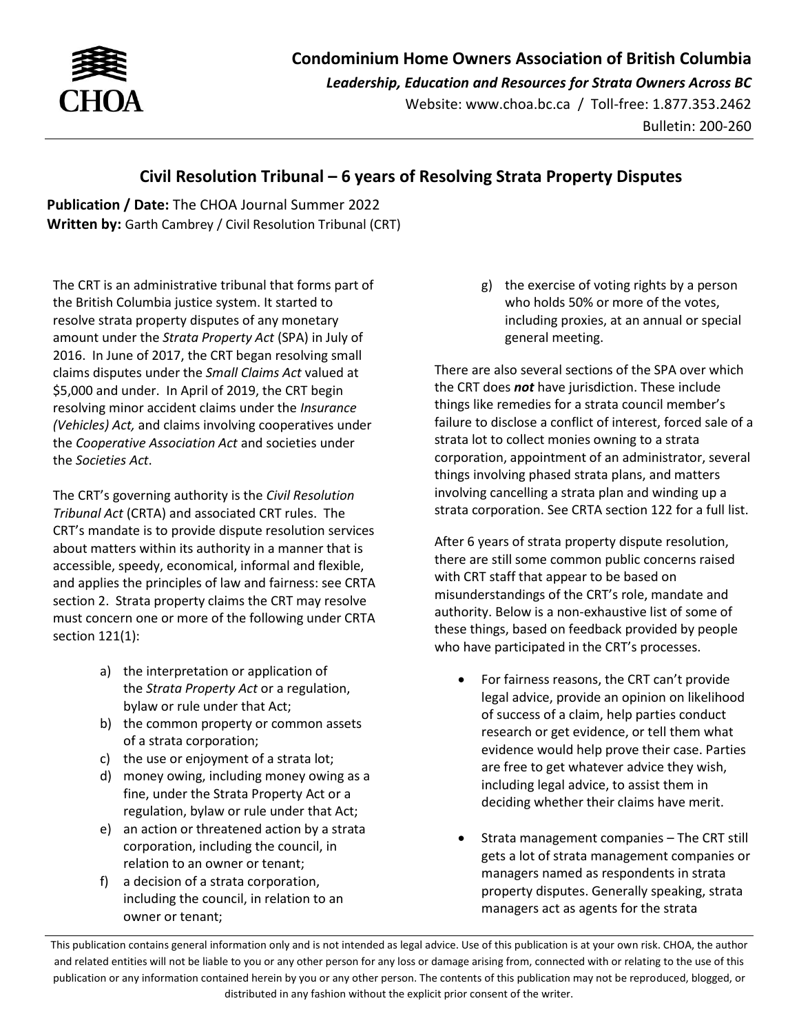

*Leadership, Education and Resources for Strata Owners Across BC*

Website: www.choa.bc.ca / Toll-free: 1.877.353.2462 Bulletin: 200-260

## **Civil Resolution Tribunal – 6 years of Resolving Strata Property Disputes**

**Publication / Date:** The CHOA Journal Summer 2022 **Written by:** Garth Cambrey / Civil Resolution Tribunal (CRT)

The CRT is an administrative tribunal that forms part of the British Columbia justice system. It started to resolve strata property disputes of any monetary amount under the *Strata Property Act* (SPA) in July of 2016. In June of 2017, the CRT began resolving small claims disputes under the *Small Claims Act* valued at \$5,000 and under. In April of 2019, the CRT begin resolving minor accident claims under the *Insurance (Vehicles) Act,* and claims involving cooperatives under the *Cooperative Association Act* and societies under the *Societies Act*.

The CRT's governing authority is the *Civil Resolution Tribunal Act* (CRTA) and associated CRT rules. The CRT's mandate is to provide dispute resolution services about matters within its authority in a manner that is accessible, speedy, economical, informal and flexible, and applies the principles of law and fairness: see CRTA section 2. Strata property claims the CRT may resolve must concern one or more of the following under CRTA section 121(1):

- a) the interpretation or application of the *Strata Property Act* or a regulation, bylaw or rule under that Act;
- b) the common property or common assets of a strata corporation;
- c) the use or enjoyment of a strata lot;
- d) money owing, including money owing as a fine, under the [Strata Property Act](https://www.bclaws.gov.bc.ca/civix/document/id/complete/statreg/98043_00) or a regulation, bylaw or rule under that Act;
- e) an action or threatened action by a strata corporation, including the council, in relation to an owner or tenant;
- f) a decision of a strata corporation, including the council, in relation to an owner or tenant;

g) the exercise of voting rights by a person who holds 50% or more of the votes, including proxies, at an annual or special general meeting.

There are also several sections of the SPA over which the CRT does *not* have jurisdiction. These include things like remedies for a strata council member's failure to disclose a conflict of interest, forced sale of a strata lot to collect monies owning to a strata corporation, appointment of an administrator, several things involving phased strata plans, and matters involving cancelling a strata plan and winding up a strata corporation. See CRTA section 122 for a full list.

After 6 years of strata property dispute resolution, there are still some common public concerns raised with CRT staff that appear to be based on misunderstandings of the CRT's role, mandate and authority. Below is a non-exhaustive list of some of these things, based on feedback provided by people who have participated in the CRT's processes.

- For fairness reasons, the CRT can't provide legal advice, provide an opinion on likelihood of success of a claim, help parties conduct research or get evidence, or tell them what evidence would help prove their case. Parties are free to get whatever advice they wish, including legal advice, to assist them in deciding whether their claims have merit.
- Strata management companies The CRT still gets a lot of strata management companies or managers named as respondents in strata property disputes. Generally speaking, strata managers act as agents for the strata

This publication contains general information only and is not intended as legal advice. Use of this publication is at your own risk. CHOA, the author and related entities will not be liable to you or any other person for any loss or damage arising from, connected with or relating to the use of this publication or any information contained herein by you or any other person. The contents of this publication may not be reproduced, blogged, or distributed in any fashion without the explicit prior consent of the writer.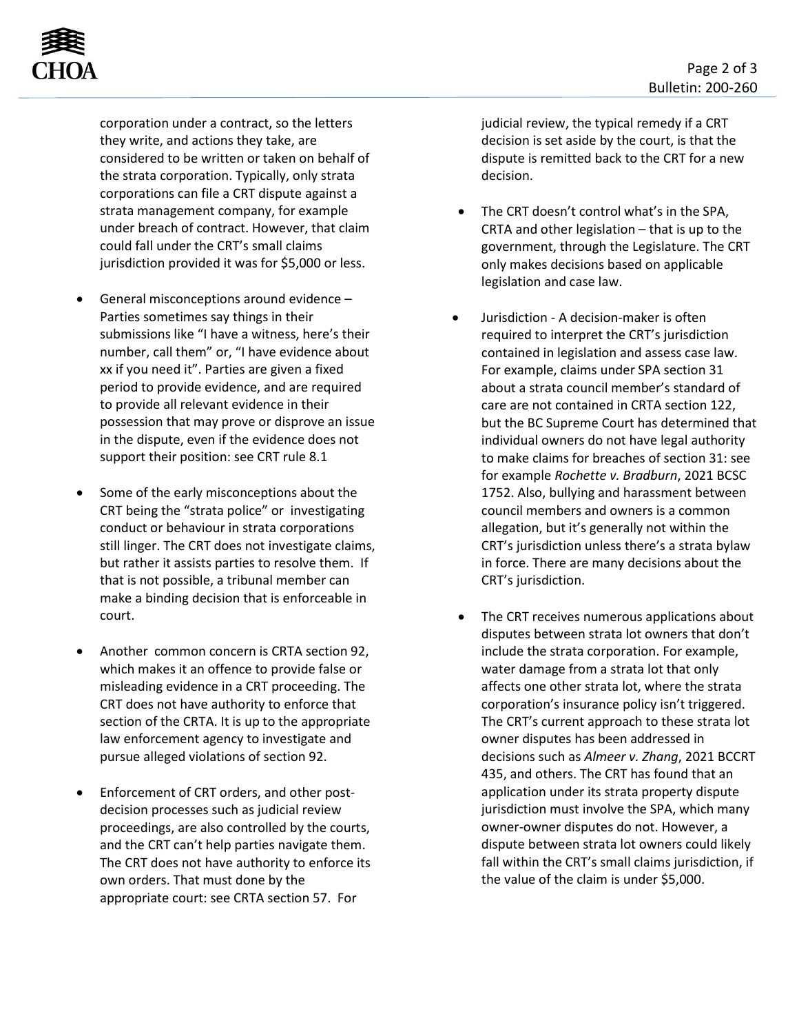

corporation under a contract, so the letters they write, and actions they take, are considered to be written or taken on behalf of the strata corporation. Typically, only strata corporations can file a CRT dispute against a strata management company, for example under breach of contract. However, that claim could fall under the CRT's small claims jurisdiction provided it was for \$5,000 or less.

- General misconceptions around evidence Parties sometimes say things in their submissions like "I have a witness, here's their number, call them" or, "I have evidence about xx if you need it". Parties are given a fixed period to provide evidence, and are required to provide all relevant evidence in their possession that may prove or disprove an issue in the dispute, even if the evidence does not support their position: see CRT rule 8.1
- Some of the early misconceptions about the CRT being the "strata police" or investigating conduct or behaviour in strata corporations still linger. The CRT does not investigate claims, but rather it assists parties to resolve them. If that is not possible, a tribunal member can make a binding decision that is enforceable in court.
- Another common concern is CRTA section 92, which makes it an offence to provide false or misleading evidence in a CRT proceeding. The CRT does not have authority to enforce that section of the CRTA. It is up to the appropriate law enforcement agency to investigate and pursue alleged violations of section 92.
- Enforcement of CRT orders, and other postdecision processes such as judicial review proceedings, are also controlled by the courts, and the CRT can't help parties navigate them. The CRT does not have authority to enforce its own orders. That must done by the appropriate court: see CRTA section 57. For

judicial review, the typical remedy if a CRT decision is set aside by the court, is that the dispute is remitted back to the CRT for a new decision.

- The CRT doesn't control what's in the SPA, CRTA and other legislation – that is up to the government, through the Legislature. The CRT only makes decisions based on applicable legislation and case law.
- Jurisdiction A decision-maker is often required to interpret the CRT's jurisdiction contained in legislation and assess case law. For example, claims under SPA section 31 about a strata council member's standard of care are not contained in CRTA section 122, but the BC Supreme Court has determined that individual owners do not have legal authority to make claims for breaches of section 31: see for example *Rochette v. Bradburn*, 2021 BCSC 1752. Also, bullying and harassment between council members and owners is a common allegation, but it's generally not within the CRT's jurisdiction unless there's a strata bylaw in force. There are many decisions about the CRT's jurisdiction.
- The CRT receives numerous applications about disputes between strata lot owners that don't include the strata corporation. For example, water damage from a strata lot that only affects one other strata lot, where the strata corporation's insurance policy isn't triggered. The CRT's current approach to these strata lot owner disputes has been addressed in decisions such as *Almeer v. Zhang*, 2021 BCCRT 435, and others. The CRT has found that an application under its strata property dispute jurisdiction must involve the SPA, which many owner-owner disputes do not. However, a dispute between strata lot owners could likely fall within the CRT's small claims jurisdiction, if the value of the claim is under \$5,000.